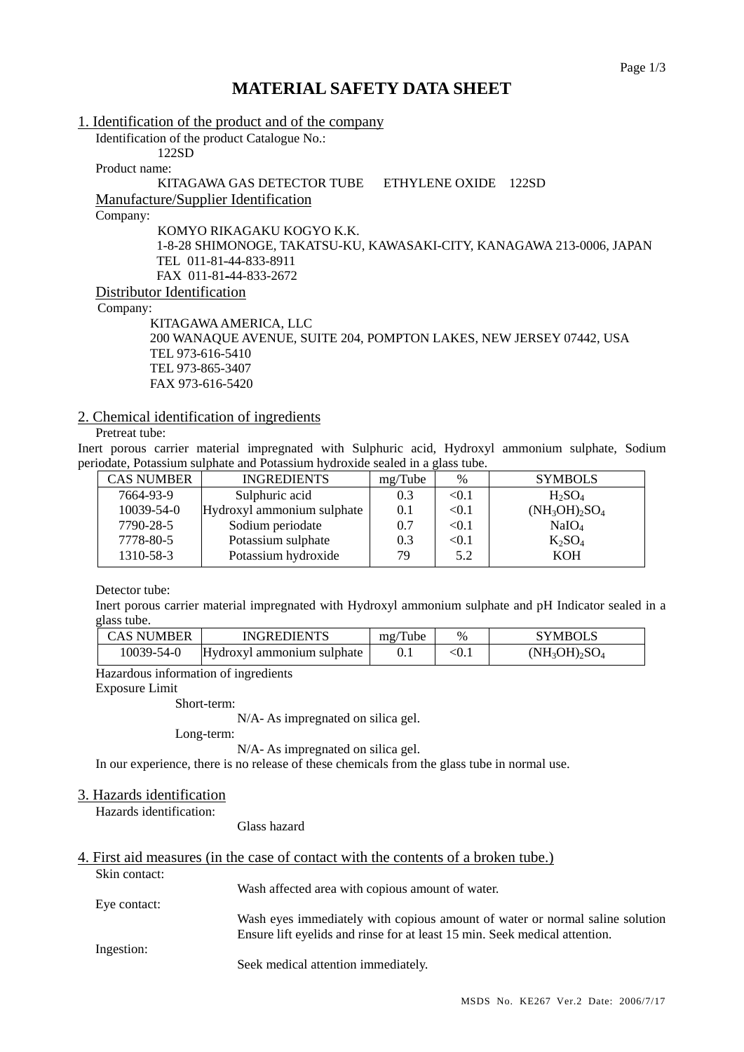# **MATERIAL SAFETY DATA SHEET**

1. Identification of the product and of the company Identification of the product Catalogue No.: 122SD Product name: KITAGAWA GAS DETECTOR TUBE ETHYLENE OXIDE 122SD Manufacture/Supplier Identification Company: KOMYO RIKAGAKU KOGYO K.K. 1-8-28 SHIMONOGE, TAKATSU-KU, KAWASAKI-CITY, KANAGAWA 213-0006, JAPAN TEL 011-81-44-833-8911 FAX 011-81-44-833-2672 Distributor Identification Company: KITAGAWA AMERICA, LLC 200 WANAQUE AVENUE, SUITE 204, POMPTON LAKES, NEW JERSEY 07442, USA

 TEL 973-616-5410 TEL 973-865-3407 FAX 973-616-5420

### 2. Chemical identification of ingredients

Pretreat tube:

Inert porous carrier material impregnated with Sulphuric acid, Hydroxyl ammonium sulphate, Sodium periodate, Potassium sulphate and Potassium hydroxide sealed in a glass tube.

| <b>CAS NUMBER</b> | <b>INGREDIENTS</b>         | mg/Tube | $\%$  | <b>SYMBOLS</b>    |
|-------------------|----------------------------|---------|-------|-------------------|
| 7664-93-9         | Sulphuric acid             | 0.3     | < 0.1 | $H_2SO_4$         |
| $10039 - 54 - 0$  | Hydroxyl ammonium sulphate | 0.1     | < 0.1 | $(NH_3OH)_2SO_4$  |
| 7790-28-5         | Sodium periodate           | 0.7     | < 0.1 | NaIO <sub>4</sub> |
| 7778-80-5         | Potassium sulphate         | 0.3     | < 0.1 | $K_2SO_4$         |
| 1310-58-3         | Potassium hydroxide        | 79      | 5.2   | <b>KOH</b>        |

Detector tube:

Inert porous carrier material impregnated with Hydroxyl ammonium sulphate and pH Indicator sealed in a glass tube.

| CAS NUMBER | <b>INGREDIENTS</b>         | mg/Tube | $\%$       | <b>SYMBOLS</b>   |
|------------|----------------------------|---------|------------|------------------|
| 10039-54-0 | Hydroxyl ammonium sulphate |         | $\leq 0.1$ | $(NH_3OH)_2SO_4$ |

Hazardous information of ingredients

Exposure Limit

Short-term:

N/A- As impregnated on silica gel.

Long-term:

N/A- As impregnated on silica gel.

In our experience, there is no release of these chemicals from the glass tube in normal use.

#### 3. Hazards identification

Hazards identification:

Glass hazard

### 4. First aid measures (in the case of contact with the contents of a broken tube.) Skin contact:

|              | Wash affected area with copious amount of water.                             |
|--------------|------------------------------------------------------------------------------|
| Eye contact: |                                                                              |
|              | Wash eyes immediately with copious amount of water or normal saline solution |
|              | Ensure lift eyelids and rinse for at least 15 min. Seek medical attention.   |
| Ingestion:   |                                                                              |
|              | Seek medical attention immediately.                                          |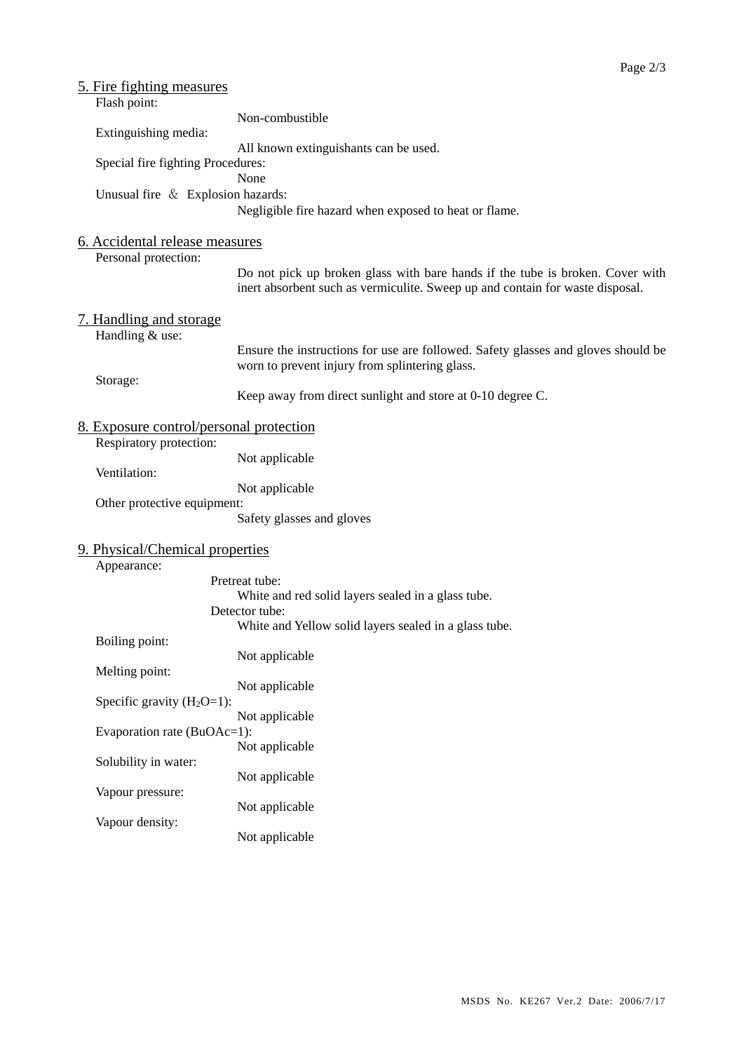| <u>5. Fire fighting measures</u>               |                                                                                   |
|------------------------------------------------|-----------------------------------------------------------------------------------|
| Flash point:                                   |                                                                                   |
|                                                | Non-combustible                                                                   |
| Extinguishing media:                           |                                                                                   |
|                                                | All known extinguishants can be used.                                             |
| Special fire fighting Procedures:              |                                                                                   |
|                                                | None                                                                              |
| Unusual fire & Explosion hazards:              |                                                                                   |
|                                                | Negligible fire hazard when exposed to heat or flame.                             |
|                                                |                                                                                   |
| 6. Accidental release measures                 |                                                                                   |
| Personal protection:                           |                                                                                   |
|                                                | Do not pick up broken glass with bare hands if the tube is broken. Cover with     |
|                                                | inert absorbent such as vermiculite. Sweep up and contain for waste disposal.     |
|                                                |                                                                                   |
| <u>7. Handling and storage</u>                 |                                                                                   |
| Handling & use:                                |                                                                                   |
|                                                | Ensure the instructions for use are followed. Safety glasses and gloves should be |
|                                                | worn to prevent injury from splintering glass.                                    |
| Storage:                                       | Keep away from direct sunlight and store at 0-10 degree C.                        |
|                                                |                                                                                   |
| <u>8. Exposure control/personal protection</u> |                                                                                   |
| Respiratory protection:                        |                                                                                   |
|                                                | Not applicable                                                                    |
| Ventilation:                                   |                                                                                   |
|                                                | Not applicable                                                                    |
| Other protective equipment:                    |                                                                                   |
|                                                | Safety glasses and gloves                                                         |
|                                                |                                                                                   |
| 9. Physical/Chemical properties                |                                                                                   |
| Appearance:                                    |                                                                                   |
|                                                | Pretreat tube:                                                                    |
|                                                | White and red solid layers sealed in a glass tube.                                |
|                                                | Detector tube:                                                                    |
|                                                | White and Yellow solid layers sealed in a glass tube.                             |
| Boiling point:                                 |                                                                                   |
|                                                | Not applicable                                                                    |
| Melting point:                                 |                                                                                   |
| Specific gravity $(H_2O=1)$ :                  | Not applicable                                                                    |
|                                                | Not applicable                                                                    |
| Evaporation rate (BuOAc=1):                    |                                                                                   |
|                                                | Not applicable                                                                    |
| Solubility in water:                           |                                                                                   |
|                                                | Not applicable                                                                    |
| Vapour pressure:                               |                                                                                   |
|                                                | Not applicable                                                                    |
| Vapour density:                                |                                                                                   |
|                                                | Not applicable                                                                    |